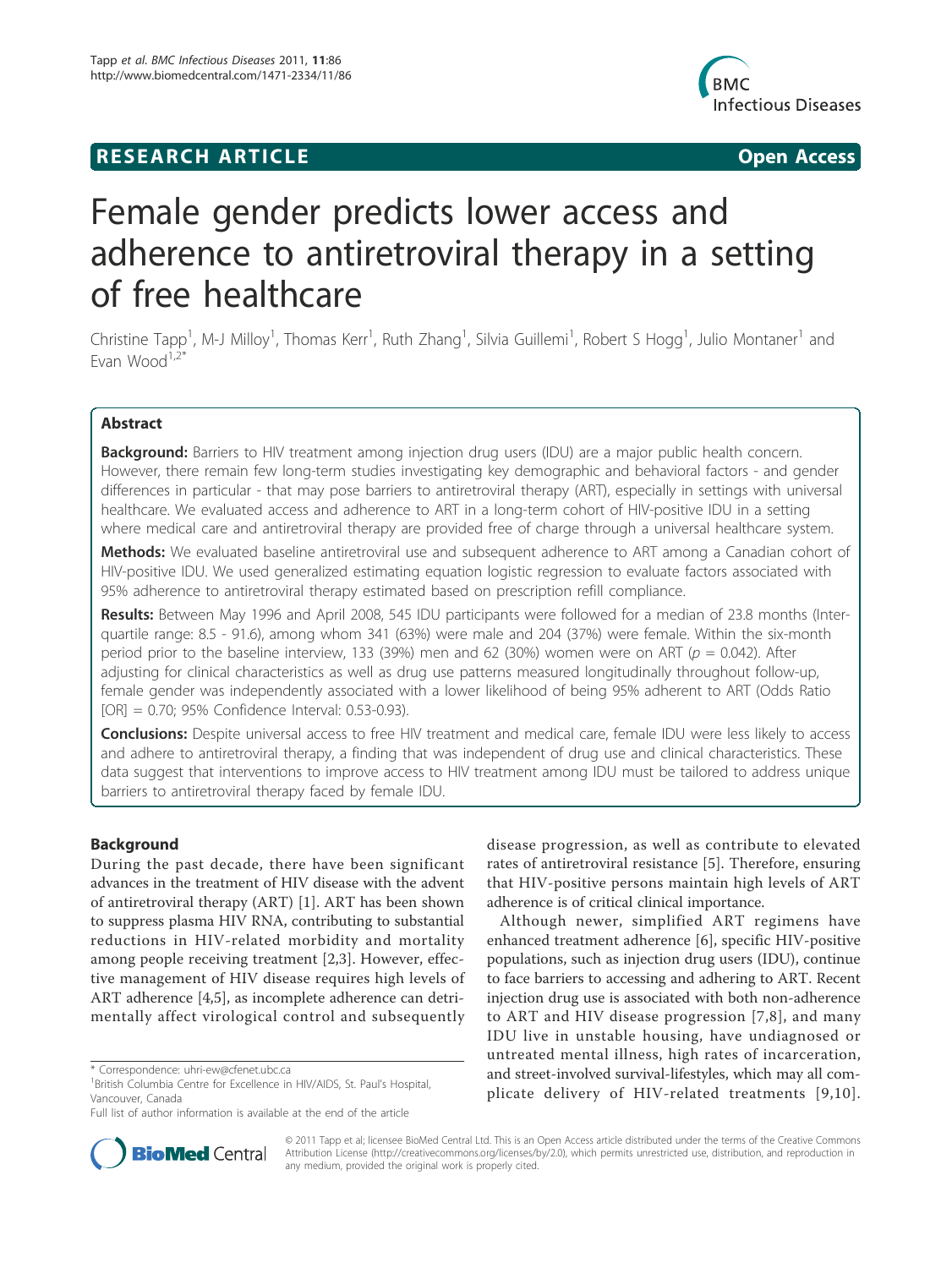## **RESEARCH ARTICLE Example 2014 CONSUMING ACCESS**



# Female gender predicts lower access and adherence to antiretroviral therapy in a setting of free healthcare

Christine Tapp<sup>1</sup>, M-J Milloy<sup>1</sup>, Thomas Kerr<sup>1</sup>, Ruth Zhang<sup>1</sup>, Silvia Guillemi<sup>1</sup>, Robert S Hogg<sup>1</sup>, Julio Montaner<sup>1</sup> and Evan Wood $1,2^*$ 

## Abstract

**Background:** Barriers to HIV treatment among injection drug users (IDU) are a major public health concern. However, there remain few long-term studies investigating key demographic and behavioral factors - and gender differences in particular - that may pose barriers to antiretroviral therapy (ART), especially in settings with universal healthcare. We evaluated access and adherence to ART in a long-term cohort of HIV-positive IDU in a setting where medical care and antiretroviral therapy are provided free of charge through a universal healthcare system.

Methods: We evaluated baseline antiretroviral use and subsequent adherence to ART among a Canadian cohort of HIV-positive IDU. We used generalized estimating equation logistic regression to evaluate factors associated with 95% adherence to antiretroviral therapy estimated based on prescription refill compliance.

Results: Between May 1996 and April 2008, 545 IDU participants were followed for a median of 23.8 months (Interquartile range: 8.5 - 91.6), among whom 341 (63%) were male and 204 (37%) were female. Within the six-month period prior to the baseline interview, 133 (39%) men and 62 (30%) women were on ART ( $p = 0.042$ ). After adjusting for clinical characteristics as well as drug use patterns measured longitudinally throughout follow-up, female gender was independently associated with a lower likelihood of being 95% adherent to ART (Odds Ratio [OR] = 0.70; 95% Confidence Interval: 0.53-0.93).

**Conclusions:** Despite universal access to free HIV treatment and medical care, female IDU were less likely to access and adhere to antiretroviral therapy, a finding that was independent of drug use and clinical characteristics. These data suggest that interventions to improve access to HIV treatment among IDU must be tailored to address unique barriers to antiretroviral therapy faced by female IDU.

## Background

During the past decade, there have been significant advances in the treatment of HIV disease with the advent of antiretroviral therapy (ART) [1]. ART has been shown to suppress plasma HIV RNA, contributing to substantial reductions in HIV-related morbidity and mortality among people receiving treatment [2,3]. However, effective management of HIV disease requires high levels of ART adherence [4,5], as incomplete adherence can detrimentally affect virological control and subsequently disease progression, as well as contribute to elevated rates of antiretroviral resistance [5]. Therefore, ensuring that HIV-positive persons maintain high levels of ART adherence is of critical clinical importance.

Although newer, simplified ART regimens have enhanced treatment adherence [6], specific HIV-positive populations, such as injection drug users (IDU), continue to face barriers to accessing and adhering to ART. Recent injection drug use is associated with both non-adherence to ART and HIV disease progression [7,8], and many IDU live in unstable housing, have undiagnosed or untreated mental illness, high rates of incarceration, and street-involved survival-lifestyles, which may all complicate delivery of HIV-related treatments [9,10].



© 2011 Tapp et al; licensee BioMed Central Ltd. This is an Open Access article distributed under the terms of the Creative Commons Attribution License (http://creativecommons.org/licenses/by/2.0), which permits unrestricted use, distribution, and reproduction in any medium, provided the original work is properly cited.

<sup>\*</sup> Correspondence: uhri-ew@cfenet.ubc.ca

<sup>&</sup>lt;sup>1</sup> British Columbia Centre for Excellence in HIV/AIDS, St. Paul's Hospital, Vancouver, Canada

Full list of author information is available at the end of the article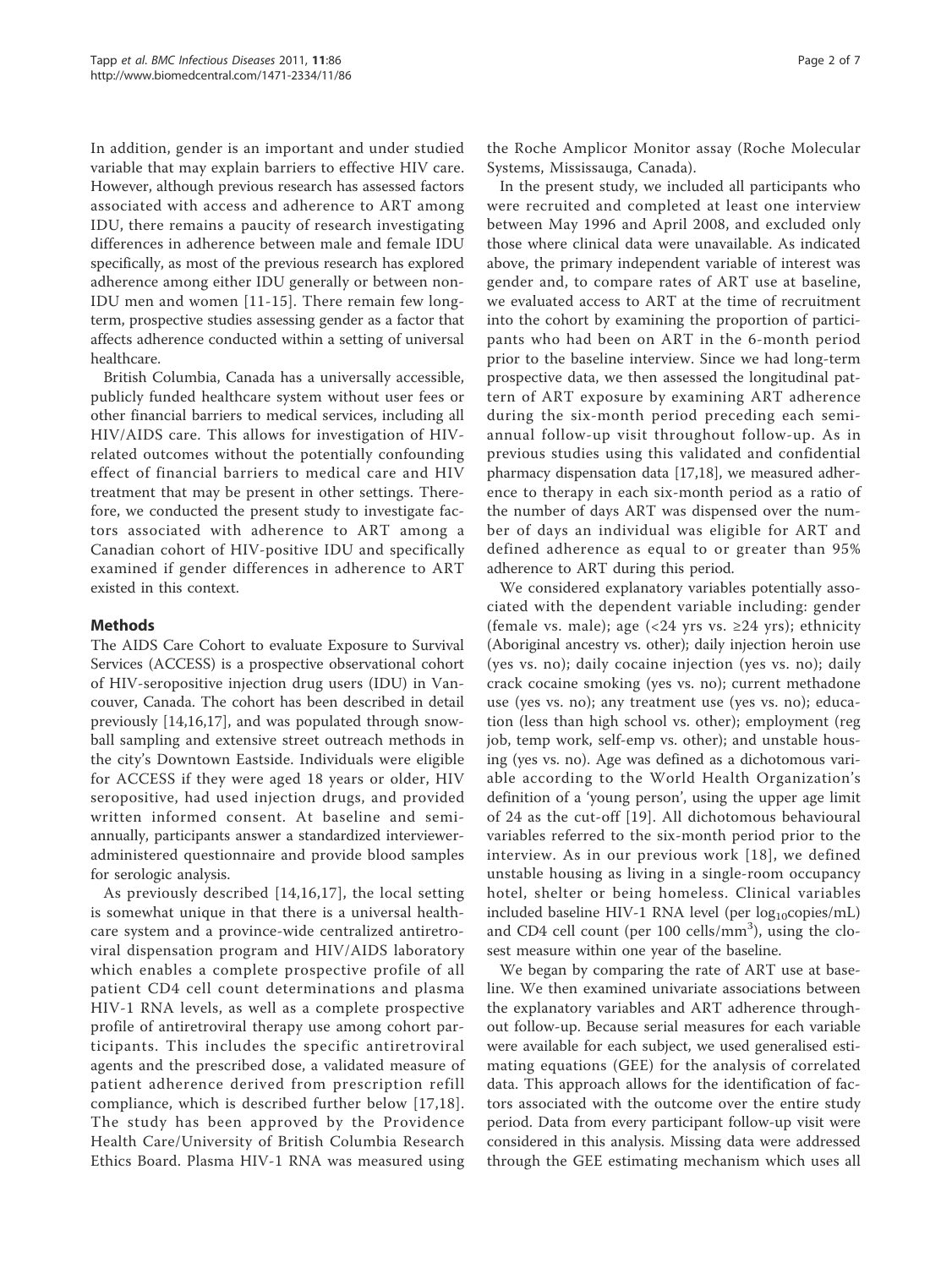In addition, gender is an important and under studied variable that may explain barriers to effective HIV care. However, although previous research has assessed factors associated with access and adherence to ART among IDU, there remains a paucity of research investigating differences in adherence between male and female IDU specifically, as most of the previous research has explored adherence among either IDU generally or between non-IDU men and women [11-15]. There remain few longterm, prospective studies assessing gender as a factor that affects adherence conducted within a setting of universal healthcare.

British Columbia, Canada has a universally accessible, publicly funded healthcare system without user fees or other financial barriers to medical services, including all HIV/AIDS care. This allows for investigation of HIVrelated outcomes without the potentially confounding effect of financial barriers to medical care and HIV treatment that may be present in other settings. Therefore, we conducted the present study to investigate factors associated with adherence to ART among a Canadian cohort of HIV-positive IDU and specifically examined if gender differences in adherence to ART existed in this context.

## Methods

The AIDS Care Cohort to evaluate Exposure to Survival Services (ACCESS) is a prospective observational cohort of HIV-seropositive injection drug users (IDU) in Vancouver, Canada. The cohort has been described in detail previously [14,16,17], and was populated through snowball sampling and extensive street outreach methods in the city's Downtown Eastside. Individuals were eligible for ACCESS if they were aged 18 years or older, HIV seropositive, had used injection drugs, and provided written informed consent. At baseline and semiannually, participants answer a standardized intervieweradministered questionnaire and provide blood samples for serologic analysis.

As previously described [14,16,17], the local setting is somewhat unique in that there is a universal healthcare system and a province-wide centralized antiretroviral dispensation program and HIV/AIDS laboratory which enables a complete prospective profile of all patient CD4 cell count determinations and plasma HIV-1 RNA levels, as well as a complete prospective profile of antiretroviral therapy use among cohort participants. This includes the specific antiretroviral agents and the prescribed dose, a validated measure of patient adherence derived from prescription refill compliance, which is described further below [17,18]. The study has been approved by the Providence Health Care/University of British Columbia Research Ethics Board. Plasma HIV-1 RNA was measured using

the Roche Amplicor Monitor assay (Roche Molecular Systems, Mississauga, Canada).

In the present study, we included all participants who were recruited and completed at least one interview between May 1996 and April 2008, and excluded only those where clinical data were unavailable. As indicated above, the primary independent variable of interest was gender and, to compare rates of ART use at baseline, we evaluated access to ART at the time of recruitment into the cohort by examining the proportion of participants who had been on ART in the 6-month period prior to the baseline interview. Since we had long-term prospective data, we then assessed the longitudinal pattern of ART exposure by examining ART adherence during the six-month period preceding each semiannual follow-up visit throughout follow-up. As in previous studies using this validated and confidential pharmacy dispensation data [17,18], we measured adherence to therapy in each six-month period as a ratio of the number of days ART was dispensed over the number of days an individual was eligible for ART and defined adherence as equal to or greater than 95% adherence to ART during this period.

We considered explanatory variables potentially associated with the dependent variable including: gender (female vs. male); age  $(< 24$  yrs vs.  $\geq 24$  yrs); ethnicity (Aboriginal ancestry vs. other); daily injection heroin use (yes vs. no); daily cocaine injection (yes vs. no); daily crack cocaine smoking (yes vs. no); current methadone use (yes vs. no); any treatment use (yes vs. no); education (less than high school vs. other); employment (reg job, temp work, self-emp vs. other); and unstable housing (yes vs. no). Age was defined as a dichotomous variable according to the World Health Organization's definition of a 'young person', using the upper age limit of 24 as the cut-off [19]. All dichotomous behavioural variables referred to the six-month period prior to the interview. As in our previous work [18], we defined unstable housing as living in a single-room occupancy hotel, shelter or being homeless. Clinical variables included baseline HIV-1 RNA level (per  $log_{10}$ copies/mL) and CD4 cell count (per  $100$  cells/mm<sup>3</sup>), using the closest measure within one year of the baseline.

We began by comparing the rate of ART use at baseline. We then examined univariate associations between the explanatory variables and ART adherence throughout follow-up. Because serial measures for each variable were available for each subject, we used generalised estimating equations (GEE) for the analysis of correlated data. This approach allows for the identification of factors associated with the outcome over the entire study period. Data from every participant follow-up visit were considered in this analysis. Missing data were addressed through the GEE estimating mechanism which uses all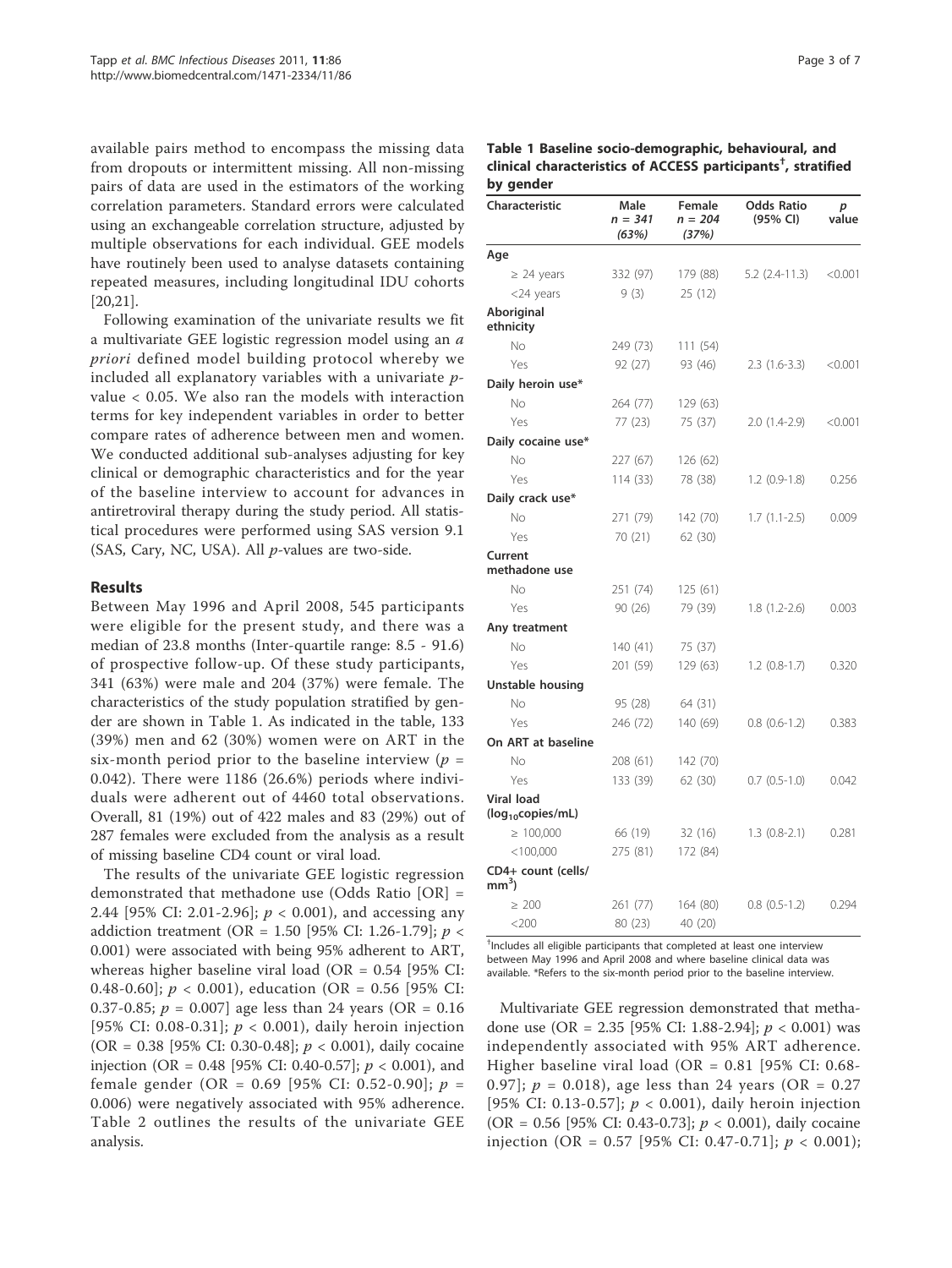available pairs method to encompass the missing data from dropouts or intermittent missing. All non-missing pairs of data are used in the estimators of the working correlation parameters. Standard errors were calculated using an exchangeable correlation structure, adjusted by multiple observations for each individual. GEE models have routinely been used to analyse datasets containing repeated measures, including longitudinal IDU cohorts [20,21].

Following examination of the univariate results we fit a multivariate GEE logistic regression model using an a priori defined model building protocol whereby we included all explanatory variables with a univariate pvalue < 0.05. We also ran the models with interaction terms for key independent variables in order to better compare rates of adherence between men and women. We conducted additional sub-analyses adjusting for key clinical or demographic characteristics and for the year of the baseline interview to account for advances in antiretroviral therapy during the study period. All statistical procedures were performed using SAS version 9.1 (SAS, Cary, NC, USA). All p-values are two-side.

#### Results

Between May 1996 and April 2008, 545 participants were eligible for the present study, and there was a median of 23.8 months (Inter-quartile range: 8.5 - 91.6) of prospective follow-up. Of these study participants, 341 (63%) were male and 204 (37%) were female. The characteristics of the study population stratified by gender are shown in Table 1. As indicated in the table, 133 (39%) men and 62 (30%) women were on ART in the six-month period prior to the baseline interview ( $p =$ 0.042). There were 1186 (26.6%) periods where individuals were adherent out of 4460 total observations. Overall, 81 (19%) out of 422 males and 83 (29%) out of 287 females were excluded from the analysis as a result of missing baseline CD4 count or viral load.

The results of the univariate GEE logistic regression demonstrated that methadone use (Odds Ratio [OR] = 2.44 [95% CI: 2.01-2.96];  $p < 0.001$ ), and accessing any addiction treatment (OR = 1.50 [95% CI: 1.26-1.79];  $p <$ 0.001) were associated with being 95% adherent to ART, whereas higher baseline viral load (OR =  $0.54$  [95% CI: 0.48-0.60];  $p < 0.001$ ), education (OR = 0.56 [95% CI: 0.37-0.85;  $p = 0.007$ ] age less than 24 years (OR = 0.16 [95% CI: 0.08-0.31];  $p < 0.001$ ), daily heroin injection (OR = 0.38 [95% CI: 0.30-0.48];  $p < 0.001$ ), daily cocaine injection (OR = 0.48 [95% CI: 0.40-0.57];  $p < 0.001$ ), and female gender (OR = 0.69 [95% CI: 0.52-0.90];  $p =$ 0.006) were negatively associated with 95% adherence. Table 2 outlines the results of the univariate GEE analysis.

| Table 1 Baseline socio-demographic, behavioural, and                      |
|---------------------------------------------------------------------------|
| clinical characteristics of ACCESS participants <sup>†</sup> , stratified |
| by gender                                                                 |

| Characteristic                              | Male<br>$n = 341$<br>(63%) | Female<br>$n = 204$<br>(37%) | <b>Odds Ratio</b><br>(95% CI) | p<br>value |
|---------------------------------------------|----------------------------|------------------------------|-------------------------------|------------|
| Age                                         |                            |                              |                               |            |
| $\geq$ 24 years                             | 332 (97)                   | 179 (88)                     | 5.2 (2.4-11.3)                | < 0.001    |
| <24 years                                   | 9(3)                       | 25(12)                       |                               |            |
| Aboriginal<br>ethnicity                     |                            |                              |                               |            |
| No                                          | 249 (73)                   | 111(54)                      |                               |            |
| Yes                                         | 92(27)                     | 93 (46)                      | $2.3(1.6-3.3)$                | < 0.001    |
| Daily heroin use*                           |                            |                              |                               |            |
| No.                                         | 264 (77)                   | 129 (63)                     |                               |            |
| Yes                                         | 77 (23)                    | 75 (37)                      | $2.0(1.4-2.9)$                | < 0.001    |
| Daily cocaine use*                          |                            |                              |                               |            |
| No                                          | 227 (67)                   | 126 (62)                     |                               |            |
| Yes                                         | 114(33)                    | 78 (38)                      | $1.2(0.9-1.8)$                | 0.256      |
| Daily crack use*                            |                            |                              |                               |            |
| No                                          | 271 (79)                   | 142 (70)                     | $1.7(1.1-2.5)$                | 0.009      |
| Yes                                         | 70 (21)                    | 62 (30)                      |                               |            |
| Current<br>methadone use                    |                            |                              |                               |            |
| No                                          | 251 (74)                   | 125(61)                      |                               |            |
| Yes                                         | 90(26)                     | 79 (39)                      | $1.8(1.2 - 2.6)$              | 0.003      |
| Any treatment                               |                            |                              |                               |            |
| No                                          | 140(41)                    | 75 (37)                      |                               |            |
| Yes                                         | 201 (59)                   | 129 (63)                     | $1.2(0.8-1.7)$                | 0.320      |
| Unstable housing                            |                            |                              |                               |            |
| No                                          | 95 (28)                    | 64 (31)                      |                               |            |
| Yes                                         | 246 (72)                   | 140 (69)                     | $0.8(0.6-1.2)$                | 0.383      |
| On ART at baseline                          |                            |                              |                               |            |
| No                                          | 208 (61)                   | 142 (70)                     |                               |            |
| Yes                                         | 133 (39)                   | 62 (30)                      | $0.7(0.5-1.0)$                | 0.042      |
| Viral load<br>(log <sub>10</sub> copies/mL) |                            |                              |                               |            |
| $\geq 100,000$                              | 66 (19)                    | 32 (16)                      | $1.3(0.8-2.1)$                | 0.281      |
| $<$ 100,000                                 | 275 (81)                   | 172 (84)                     |                               |            |
| CD4+ count (cells/                          |                            |                              |                               |            |
| mm <sup>3</sup>                             |                            |                              |                               |            |
| $\geq 200$                                  | 261 (77)                   | 164 (80)                     | $0.8$ $(0.5-1.2)$             | 0.294      |
| $<$ 200                                     | 80 (23)                    | 40 (20)                      |                               |            |

† Includes all eligible participants that completed at least one interview between May 1996 and April 2008 and where baseline clinical data was available. \*Refers to the six-month period prior to the baseline interview.

Multivariate GEE regression demonstrated that methadone use (OR = 2.35 [95% CI: 1.88-2.94];  $p < 0.001$ ) was independently associated with 95% ART adherence. Higher baseline viral load (OR =  $0.81$  [95% CI: 0.68-0.97];  $p = 0.018$ , age less than 24 years (OR = 0.27) [95% CI: 0.13-0.57];  $p < 0.001$ ), daily heroin injection (OR = 0.56 [95% CI: 0.43-0.73];  $p < 0.001$ ), daily cocaine injection (OR = 0.57 [95% CI: 0.47-0.71];  $p < 0.001$ );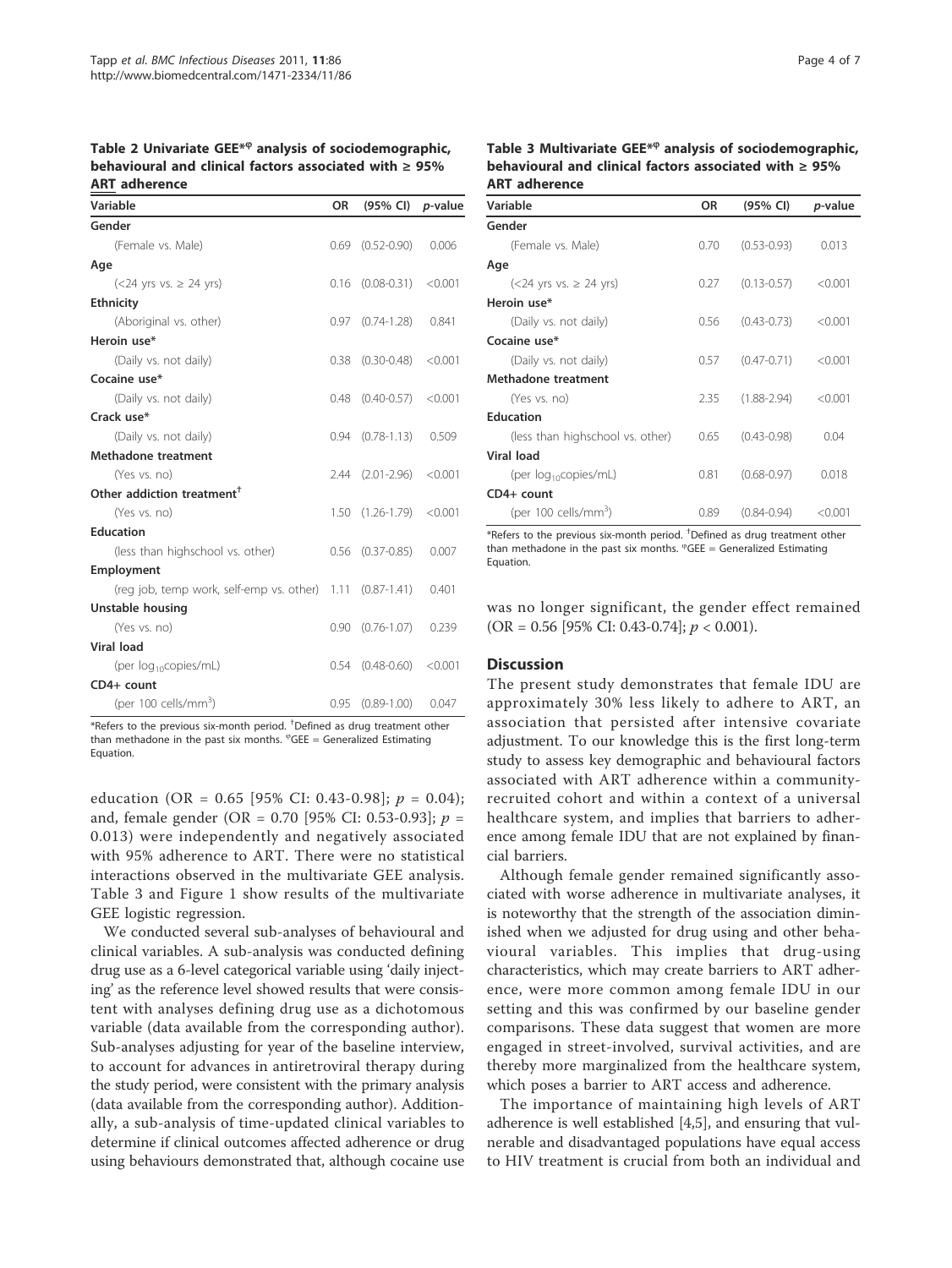Table 2 Univariate GEE\*<sup>®</sup> analysis of sociodemographic, behavioural and clinical factors associated with ≥ 95% ART adherence

| Variable                                      | <b>OR</b> | $(95\% \text{ Cl})$ <i>p</i> -value |         |
|-----------------------------------------------|-----------|-------------------------------------|---------|
| Gender                                        |           |                                     |         |
| (Female vs. Male)                             |           | $0.69$ $(0.52-0.90)$                | 0.006   |
| Age                                           |           |                                     |         |
| $(<24$ yrs vs. $\geq$ 24 yrs)                 |           | $0.16$ $(0.08-0.31)$ <0.001         |         |
| <b>Ethnicity</b>                              |           |                                     |         |
| (Aboriginal vs. other)                        |           | $0.97$ $(0.74-1.28)$                | 0.841   |
| Heroin use*                                   |           |                                     |         |
| (Daily vs. not daily)                         | 0.38      | $(0.30 - 0.48)$                     | < 0.001 |
| Cocaine use*                                  |           |                                     |         |
| (Daily vs. not daily)                         | 0.48      | $(0.40 - 0.57)$                     | < 0.001 |
| Crack use*                                    |           |                                     |         |
| (Daily vs. not daily)                         | 0.94      | $(0.78 - 1.13)$                     | 0.509   |
| Methadone treatment                           |           |                                     |         |
| (Yes vs. no)                                  |           | 2.44 (2.01-2.96)                    | < 0.001 |
| Other addiction treatment <sup>+</sup>        |           |                                     |         |
| (Yes vs. no)                                  |           | $1.50$ $(1.26-1.79)$ <0.001         |         |
| <b>Education</b>                              |           |                                     |         |
| (less than highschool vs. other)              |           | $0.56$ $(0.37-0.85)$                | 0.007   |
| Employment                                    |           |                                     |         |
| (reg job, temp work, self-emp vs. other) 1.11 |           | $(0.87 - 1.41)$                     | 0.401   |
| Unstable housing                              |           |                                     |         |
| (Yes vs. no)                                  | 0.90      | $(0.76 - 1.07)$                     | 0.239   |
| <b>Viral load</b>                             |           |                                     |         |
| (per log <sub>10</sub> copies/mL)             | 0.54      | $(0.48 - 0.60)$                     | < 0.001 |
| CD4+ count                                    |           |                                     |         |
| (per 100 cells/mm <sup>3</sup> )              | 0.95      | $(0.89 - 1.00)$                     | 0.047   |

 $*$ Refers to the previous six-month period.  $\dagger$ Defined as drug treatment other than methadone in the past six months.  $^{\varphi}$ GEE = Generalized Estimating Equation.

education (OR = 0.65 [95% CI: 0.43-0.98];  $p = 0.04$ ); and, female gender (OR = 0.70 [95% CI: 0.53-0.93];  $p =$ 0.013) were independently and negatively associated with 95% adherence to ART. There were no statistical interactions observed in the multivariate GEE analysis. Table 3 and Figure 1 show results of the multivariate GEE logistic regression.

We conducted several sub-analyses of behavioural and clinical variables. A sub-analysis was conducted defining drug use as a 6-level categorical variable using 'daily injecting' as the reference level showed results that were consistent with analyses defining drug use as a dichotomous variable (data available from the corresponding author). Sub-analyses adjusting for year of the baseline interview, to account for advances in antiretroviral therapy during the study period, were consistent with the primary analysis (data available from the corresponding author). Additionally, a sub-analysis of time-updated clinical variables to determine if clinical outcomes affected adherence or drug using behaviours demonstrated that, although cocaine use

Table 3 Multivariate GEE\*<sup>®</sup> analysis of sociodemographic, behavioural and clinical factors associated with ≥ 95% ART adherence

| Variable                         | OR   | $(95% \; \text{Cl})$ | <i>p</i> -value |
|----------------------------------|------|----------------------|-----------------|
| Gender                           |      |                      |                 |
| (Female vs. Male)                | 0.70 | $(0.53 - 0.93)$      | 0.013           |
| Age                              |      |                      |                 |
| $(<24$ yrs vs. $\geq$ 24 yrs)    | 0.27 | $(0.13 - 0.57)$      | < 0.001         |
| Heroin use*                      |      |                      |                 |
| (Daily vs. not daily)            | 0.56 | $(0.43 - 0.73)$      | < 0.001         |
| Cocaine use*                     |      |                      |                 |
| (Daily vs. not daily)            | 0.57 | $(0.47 - 0.71)$      | < 0.001         |
| Methadone treatment              |      |                      |                 |
| (Yes vs. no)                     | 2.35 | $(1.88 - 2.94)$      | < 0.001         |
| <b>Education</b>                 |      |                      |                 |
| (less than highschool vs. other) | 0.65 | $(0.43 - 0.98)$      | 0.04            |
| <b>Viral load</b>                |      |                      |                 |
| (per $log_{10}$ copies/mL)       | 0.81 | $(0.68 - 0.97)$      | 0.018           |
| CD4+ count                       |      |                      |                 |
| (per 100 cells/mm <sup>3</sup> ) | 0.89 | $(0.84 - 0.94)$      | < 0.001         |

\*Refers to the previous six-month period. † Defined as drug treatment other than methadone in the past six months.  ${}^{\circ}$ GEE = Generalized Estimating Equation.

was no longer significant, the gender effect remained  $(OR = 0.56 [95\% CI: 0.43-0.74]; p < 0.001).$ 

#### **Discussion**

The present study demonstrates that female IDU are approximately 30% less likely to adhere to ART, an association that persisted after intensive covariate adjustment. To our knowledge this is the first long-term study to assess key demographic and behavioural factors associated with ART adherence within a communityrecruited cohort and within a context of a universal healthcare system, and implies that barriers to adherence among female IDU that are not explained by financial barriers.

Although female gender remained significantly associated with worse adherence in multivariate analyses, it is noteworthy that the strength of the association diminished when we adjusted for drug using and other behavioural variables. This implies that drug-using characteristics, which may create barriers to ART adherence, were more common among female IDU in our setting and this was confirmed by our baseline gender comparisons. These data suggest that women are more engaged in street-involved, survival activities, and are thereby more marginalized from the healthcare system, which poses a barrier to ART access and adherence.

The importance of maintaining high levels of ART adherence is well established [4,5], and ensuring that vulnerable and disadvantaged populations have equal access to HIV treatment is crucial from both an individual and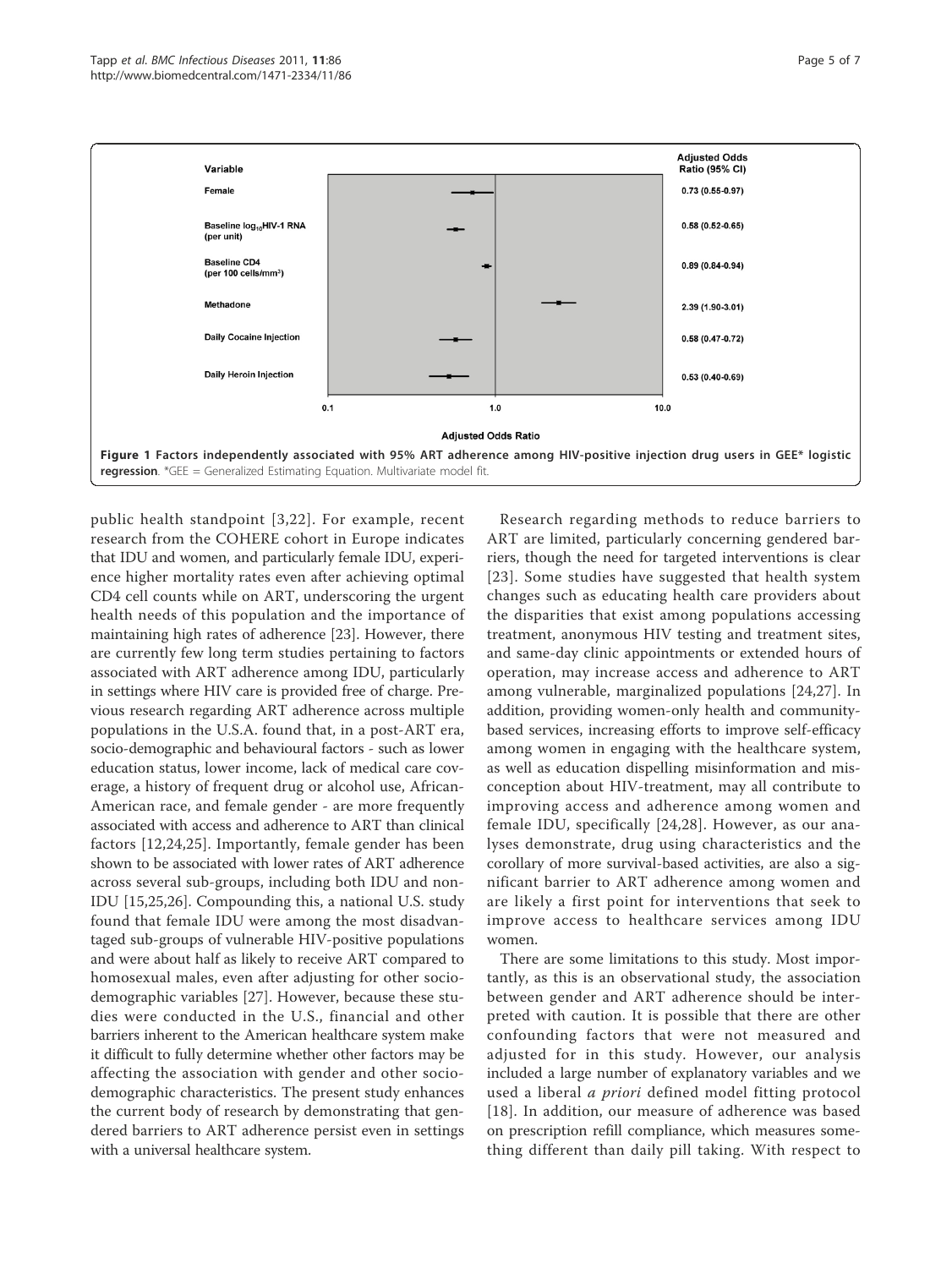

public health standpoint [3,22]. For example, recent research from the COHERE cohort in Europe indicates that IDU and women, and particularly female IDU, experience higher mortality rates even after achieving optimal CD4 cell counts while on ART, underscoring the urgent health needs of this population and the importance of maintaining high rates of adherence [23]. However, there are currently few long term studies pertaining to factors associated with ART adherence among IDU, particularly in settings where HIV care is provided free of charge. Previous research regarding ART adherence across multiple populations in the U.S.A. found that, in a post-ART era, socio-demographic and behavioural factors - such as lower education status, lower income, lack of medical care coverage, a history of frequent drug or alcohol use, African-American race, and female gender - are more frequently associated with access and adherence to ART than clinical factors [12,24,25]. Importantly, female gender has been shown to be associated with lower rates of ART adherence across several sub-groups, including both IDU and non-IDU [15,25,26]. Compounding this, a national U.S. study found that female IDU were among the most disadvantaged sub-groups of vulnerable HIV-positive populations and were about half as likely to receive ART compared to homosexual males, even after adjusting for other sociodemographic variables [27]. However, because these studies were conducted in the U.S., financial and other barriers inherent to the American healthcare system make it difficult to fully determine whether other factors may be affecting the association with gender and other sociodemographic characteristics. The present study enhances the current body of research by demonstrating that gendered barriers to ART adherence persist even in settings with a universal healthcare system.

Research regarding methods to reduce barriers to ART are limited, particularly concerning gendered barriers, though the need for targeted interventions is clear [23]. Some studies have suggested that health system changes such as educating health care providers about the disparities that exist among populations accessing treatment, anonymous HIV testing and treatment sites, and same-day clinic appointments or extended hours of operation, may increase access and adherence to ART among vulnerable, marginalized populations [24,27]. In addition, providing women-only health and communitybased services, increasing efforts to improve self-efficacy among women in engaging with the healthcare system, as well as education dispelling misinformation and misconception about HIV-treatment, may all contribute to improving access and adherence among women and female IDU, specifically [24,28]. However, as our analyses demonstrate, drug using characteristics and the corollary of more survival-based activities, are also a significant barrier to ART adherence among women and are likely a first point for interventions that seek to improve access to healthcare services among IDU women.

There are some limitations to this study. Most importantly, as this is an observational study, the association between gender and ART adherence should be interpreted with caution. It is possible that there are other confounding factors that were not measured and adjusted for in this study. However, our analysis included a large number of explanatory variables and we used a liberal a priori defined model fitting protocol [18]. In addition, our measure of adherence was based on prescription refill compliance, which measures something different than daily pill taking. With respect to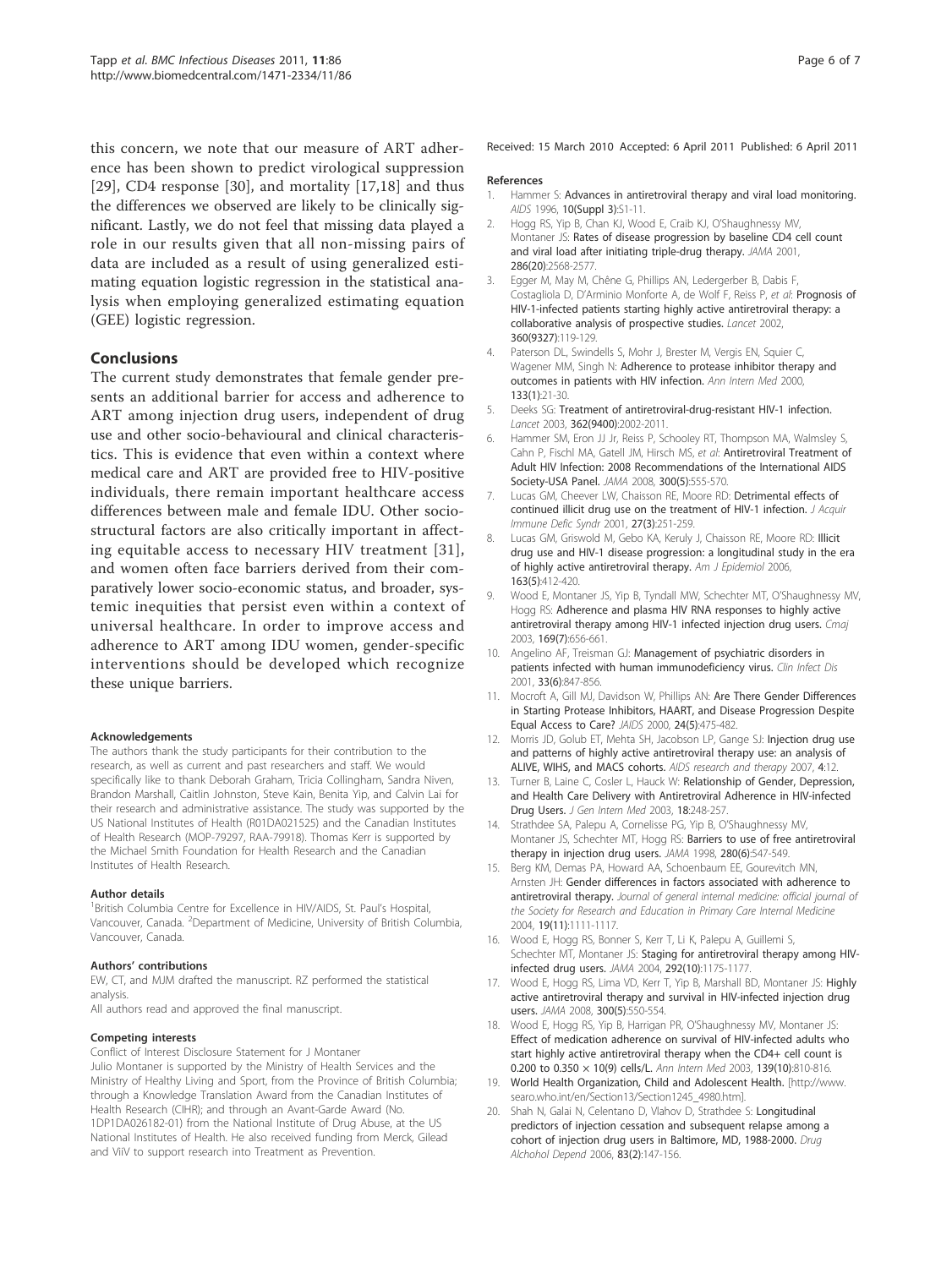this concern, we note that our measure of ART adherence has been shown to predict virological suppression [29], CD4 response [30], and mortality [17,18] and thus the differences we observed are likely to be clinically significant. Lastly, we do not feel that missing data played a role in our results given that all non-missing pairs of data are included as a result of using generalized estimating equation logistic regression in the statistical analysis when employing generalized estimating equation (GEE) logistic regression.

## Conclusions

The current study demonstrates that female gender presents an additional barrier for access and adherence to ART among injection drug users, independent of drug use and other socio-behavioural and clinical characteristics. This is evidence that even within a context where medical care and ART are provided free to HIV-positive individuals, there remain important healthcare access differences between male and female IDU. Other sociostructural factors are also critically important in affecting equitable access to necessary HIV treatment [31], and women often face barriers derived from their comparatively lower socio-economic status, and broader, systemic inequities that persist even within a context of universal healthcare. In order to improve access and adherence to ART among IDU women, gender-specific interventions should be developed which recognize these unique barriers.

#### Acknowledgements

The authors thank the study participants for their contribution to the research, as well as current and past researchers and staff. We would specifically like to thank Deborah Graham, Tricia Collingham, Sandra Niven, Brandon Marshall, Caitlin Johnston, Steve Kain, Benita Yip, and Calvin Lai for their research and administrative assistance. The study was supported by the US National Institutes of Health (R01DA021525) and the Canadian Institutes of Health Research (MOP-79297, RAA-79918). Thomas Kerr is supported by the Michael Smith Foundation for Health Research and the Canadian Institutes of Health Research.

#### Author details

<sup>1</sup> British Columbia Centre for Excellence in HIV/AIDS, St. Paul's Hospital, Vancouver, Canada. <sup>2</sup>Department of Medicine, University of British Columbia, Vancouver, Canada.

#### Authors' contributions

EW, CT, and MJM drafted the manuscript. RZ performed the statistical analysis.

All authors read and approved the final manuscript.

#### Competing interests

Conflict of Interest Disclosure Statement for J Montaner Julio Montaner is supported by the Ministry of Health Services and the Ministry of Healthy Living and Sport, from the Province of British Columbia; through a Knowledge Translation Award from the Canadian Institutes of Health Research (CIHR); and through an Avant-Garde Award (No. 1DP1DA026182-01) from the National Institute of Drug Abuse, at the US National Institutes of Health. He also received funding from Merck, Gilead and ViiV to support research into Treatment as Prevention.

Received: 15 March 2010 Accepted: 6 April 2011 Published: 6 April 2011

#### References

- 1. Hammer S: Advances in antiretroviral therapy and viral load monitoring. AIDS 1996, 10(Suppl 3):S1-11.
- 2. Hogg RS, Yip B, Chan KJ, Wood E, Craib KJ, O'Shaughnessy MV, Montaner JS: Rates of disease progression by baseline CD4 cell count and viral load after initiating triple-drug therapy. JAMA 2001, 286(20):2568-2577.
- 3. Egger M, May M, Chêne G, Phillips AN, Ledergerber B, Dabis F, Costagliola D, D'Arminio Monforte A, de Wolf F, Reiss P, et al: Prognosis of HIV-1-infected patients starting highly active antiretroviral therapy: a collaborative analysis of prospective studies. Lancet 2002, 360(9327):119-129.
- 4. Paterson DL, Swindells S, Mohr J, Brester M, Vergis EN, Squier C, Wagener MM, Singh N: Adherence to protease inhibitor therapy and outcomes in patients with HIV infection. Ann Intern Med 2000, 133(1):21-30.
- 5. Deeks SG: Treatment of antiretroviral-drug-resistant HIV-1 infection. Lancet 2003, 362(9400):2002-2011.
- 6. Hammer SM, Eron JJ Jr, Reiss P, Schooley RT, Thompson MA, Walmsley S, Cahn P, Fischl MA, Gatell JM, Hirsch MS, et al: Antiretroviral Treatment of Adult HIV Infection: 2008 Recommendations of the International AIDS Society-USA Panel. JAMA 2008, 300(5):555-570.
- 7. Lucas GM, Cheever LW, Chaisson RE, Moore RD: Detrimental effects of continued illicit drug use on the treatment of HIV-1 infection. J Acquir Immune Defic Syndr 2001, 27(3):251-259.
- 8. Lucas GM, Griswold M, Gebo KA, Keruly J, Chaisson RE, Moore RD: Illicit drug use and HIV-1 disease progression: a longitudinal study in the era of highly active antiretroviral therapy. Am J Epidemiol 2006, 163(5):412-420.
- 9. Wood E, Montaner JS, Yip B, Tyndall MW, Schechter MT, O'Shaughnessy MV, Hogg RS: Adherence and plasma HIV RNA responses to highly active antiretroviral therapy among HIV-1 infected injection drug users. Cmaj 2003, 169(7):656-661.
- 10. Angelino AF, Treisman GJ: Management of psychiatric disorders in patients infected with human immunodeficiency virus. Clin Infect Dis 2001, 33(6):847-856.
- 11. Mocroft A, Gill MJ, Davidson W, Phillips AN: Are There Gender Differences in Starting Protease Inhibitors, HAART, and Disease Progression Despite Equal Access to Care? JAIDS 2000, 24(5):475-482.
- 12. Morris JD, Golub ET, Mehta SH, Jacobson LP, Gange SJ: Injection drug use and patterns of highly active antiretroviral therapy use: an analysis of ALIVE, WIHS, and MACS cohorts. AIDS research and therapy 2007, 4:12.
- 13. Turner B, Laine C, Cosler L, Hauck W: Relationship of Gender, Depression, and Health Care Delivery with Antiretroviral Adherence in HIV-infected Drug Users. J Gen Intern Med 2003, 18:248-257.
- 14. Strathdee SA, Palepu A, Cornelisse PG, Yip B, O'Shaughnessy MV, Montaner JS, Schechter MT, Hogg RS: Barriers to use of free antiretroviral therapy in injection drug users. JAMA 1998, 280(6):547-549.
- 15. Berg KM, Demas PA, Howard AA, Schoenbaum EE, Gourevitch MN, Arnsten JH: Gender differences in factors associated with adherence to antiretroviral therapy. Journal of general internal medicine: official journal of the Society for Research and Education in Primary Care Internal Medicine 2004, 19(11):1111-1117.
- 16. Wood E, Hogg RS, Bonner S, Kerr T, Li K, Palepu A, Guillemi S, Schechter MT, Montaner JS: Staging for antiretroviral therapy among HIVinfected drug users. JAMA 2004, 292(10):1175-1177.
- 17. Wood E, Hogg RS, Lima VD, Kerr T, Yip B, Marshall BD, Montaner JS: Highly active antiretroviral therapy and survival in HIV-infected injection drug users. JAMA 2008, 300(5):550-554.
- 18. Wood E, Hogg RS, Yip B, Harrigan PR, O'Shaughnessy MV, Montaner JS: Effect of medication adherence on survival of HIV-infected adults who start highly active antiretroviral therapy when the CD4+ cell count is 0.200 to 0.350 × 10(9) cells/L. Ann Intern Med 2003, 139(10):810-816.
- 19. World Health Organization, Child and Adolescent Health. [http://www. searo.who.int/en/Section13/Section1245\_4980.htm].
- 20. Shah N, Galai N, Celentano D, Vlahov D, Strathdee S: Longitudinal predictors of injection cessation and subsequent relapse among a cohort of injection drug users in Baltimore, MD, 1988-2000. Drug Alchohol Depend 2006, 83(2):147-156.